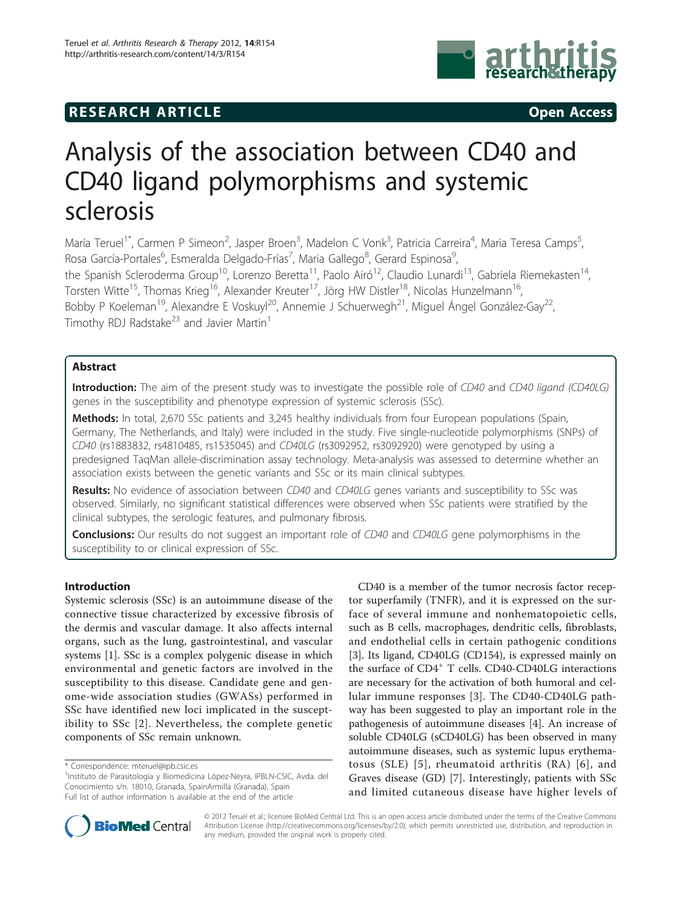# **RESEARCH ARTICLE Example 2014 CONSUMING ACCESS**



# Analysis of the association between CD40 and CD40 ligand polymorphisms and systemic sclerosis

María Teruel<sup>1\*</sup>, Carmen P Simeon<sup>2</sup>, Jasper Broen<sup>3</sup>, Madelon C Vonk<sup>3</sup>, Patricia Carreira<sup>4</sup>, Maria Teresa Camps<sup>5</sup> , Rosa García-Portales<sup>6</sup>, Esmeralda Delgado-Frías<sup>7</sup>, Maria Gallego<sup>8</sup>, Gerard Espinosa<sup>s</sup> , the Spanish Scleroderma Group<sup>10</sup>, Lorenzo Beretta<sup>11</sup>, Paolo Airó<sup>12</sup>, Claudio Lunardi<sup>13</sup>, Gabriela Riemekasten<sup>14</sup>, Torsten Witte<sup>15</sup>, Thomas Krieg<sup>16</sup>, Alexander Kreuter<sup>17</sup>, Jörg HW Distler<sup>18</sup>, Nicolas Hunzelmann<sup>16</sup>, Bobby P Koeleman<sup>19</sup>, Alexandre E Voskuyl<sup>20</sup>, Annemie J Schuerwegh<sup>21</sup>, Miguel Ángel González-Gay<sup>22</sup>, Timothy RDJ Radstake<sup>23</sup> and Javier Martin<sup>1</sup>

# Abstract

Introduction: The aim of the present study was to investigate the possible role of CD40 and CD40 ligand (CD40LG) genes in the susceptibility and phenotype expression of systemic sclerosis (SSc).

Methods: In total, 2,670 SSc patients and 3,245 healthy individuals from four European populations (Spain, Germany, The Netherlands, and Italy) were included in the study. Five single-nucleotide polymorphisms (SNPs) of CD40 (rs1883832, rs4810485, rs1535045) and CD40LG (rs3092952, rs3092920) were genotyped by using a predesigned TaqMan allele-discrimination assay technology. Meta-analysis was assessed to determine whether an association exists between the genetic variants and SSc or its main clinical subtypes.

Results: No evidence of association between CD40 and CD40LG genes variants and susceptibility to SSc was observed. Similarly, no significant statistical differences were observed when SSc patients were stratified by the clinical subtypes, the serologic features, and pulmonary fibrosis.

**Conclusions:** Our results do not suggest an important role of CD40 and CD40LG gene polymorphisms in the susceptibility to or clinical expression of SSc.

# Introduction

Systemic sclerosis (SSc) is an autoimmune disease of the connective tissue characterized by excessive fibrosis of the dermis and vascular damage. It also affects internal organs, such as the lung, gastrointestinal, and vascular systems [[1](#page-4-0)]. SSc is a complex polygenic disease in which environmental and genetic factors are involved in the susceptibility to this disease. Candidate gene and genome-wide association studies (GWASs) performed in SSc have identified new loci implicated in the susceptibility to SSc [[2](#page-4-0)]. Nevertheless, the complete genetic components of SSc remain unknown.

CD40 is a member of the tumor necrosis factor receptor superfamily (TNFR), and it is expressed on the surface of several immune and nonhematopoietic cells, such as B cells, macrophages, dendritic cells, fibroblasts, and endothelial cells in certain pathogenic conditions [[3\]](#page-4-0). Its ligand, CD40LG (CD154), is expressed mainly on the surface of CD4<sup>+</sup> T cells. CD40-CD40LG interactions are necessary for the activation of both humoral and cellular immune responses [\[3\]](#page-4-0). The CD40-CD40LG pathway has been suggested to play an important role in the pathogenesis of autoimmune diseases [\[4](#page-4-0)]. An increase of soluble CD40LG (sCD40LG) has been observed in many autoimmune diseases, such as systemic lupus erythematosus (SLE) [[5](#page-4-0)], rheumatoid arthritis (RA) [[6](#page-4-0)], and Graves disease (GD) [[7\]](#page-4-0). Interestingly, patients with SSc and limited cutaneous disease have higher levels of



© 2012 Teruel et al.; licensee BioMed Central Ltd. This is an open access article distributed under the terms of the Creative Commons Attribution License [\(http://creativecommons.org/licenses/by/2.0](http://creativecommons.org/licenses/by/2.0)), which permits unrestricted use, distribution, and reproduction in any medium, provided the original work is properly cited.

<sup>\*</sup> Correspondence: [mteruel@ipb.csic.es](mailto:mteruel@ipb.csic.es)

<sup>&</sup>lt;sup>1</sup>Instituto de Parasitología y Biomedicina López-Neyra, IPBLN-CSIC, Avda. del Conocimiento s/n. 18010, Granada, SpainArmilla (Granada), Spain Full list of author information is available at the end of the article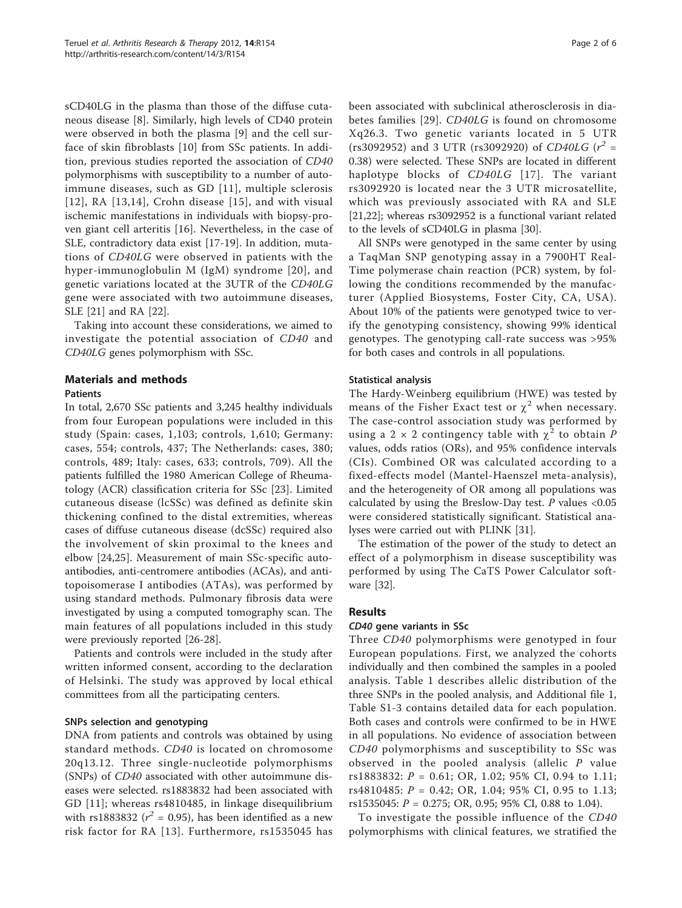sCD40LG in the plasma than those of the diffuse cutaneous disease [[8\]](#page-5-0). Similarly, high levels of CD40 protein were observed in both the plasma [\[9](#page-5-0)] and the cell surface of skin fibroblasts [[10](#page-5-0)] from SSc patients. In addition, previous studies reported the association of CD40 polymorphisms with susceptibility to a number of autoimmune diseases, such as GD [[11\]](#page-5-0), multiple sclerosis [[12\]](#page-5-0), RA  $[13,14]$  $[13,14]$  $[13,14]$  $[13,14]$  $[13,14]$ , Crohn disease [[15\]](#page-5-0), and with visual ischemic manifestations in individuals with biopsy-proven giant cell arteritis [[16\]](#page-5-0). Nevertheless, in the case of SLE, contradictory data exist [\[17](#page-5-0)-[19\]](#page-5-0). In addition, mutations of CD40LG were observed in patients with the hyper-immunoglobulin M (IgM) syndrome [[20](#page-5-0)], and genetic variations located at the 3UTR of the CD40LG gene were associated with two autoimmune diseases, SLE [\[21\]](#page-5-0) and RA [[22\]](#page-5-0).

Taking into account these considerations, we aimed to investigate the potential association of CD40 and CD40LG genes polymorphism with SSc.

# Materials and methods

# **Patients**

In total, 2,670 SSc patients and 3,245 healthy individuals from four European populations were included in this study (Spain: cases, 1,103; controls, 1,610; Germany: cases, 554; controls, 437; The Netherlands: cases, 380; controls, 489; Italy: cases, 633; controls, 709). All the patients fulfilled the 1980 American College of Rheumatology (ACR) classification criteria for SSc [[23\]](#page-5-0). Limited cutaneous disease (lcSSc) was defined as definite skin thickening confined to the distal extremities, whereas cases of diffuse cutaneous disease (dcSSc) required also the involvement of skin proximal to the knees and elbow [[24,25](#page-5-0)]. Measurement of main SSc-specific autoantibodies, anti-centromere antibodies (ACAs), and antitopoisomerase I antibodies (ATAs), was performed by using standard methods. Pulmonary fibrosis data were investigated by using a computed tomography scan. The main features of all populations included in this study were previously reported [[26-28\]](#page-5-0).

Patients and controls were included in the study after written informed consent, according to the declaration of Helsinki. The study was approved by local ethical committees from all the participating centers.

# SNPs selection and genotyping

DNA from patients and controls was obtained by using standard methods. CD40 is located on chromosome 20q13.12. Three single-nucleotide polymorphisms (SNPs) of CD40 associated with other autoimmune diseases were selected. rs1883832 had been associated with GD [[11](#page-5-0)]; whereas rs4810485, in linkage disequilibrium with rs1883832 ( $r^2$  = 0.95), has been identified as a new risk factor for RA [[13\]](#page-5-0). Furthermore, rs1535045 has been associated with subclinical atherosclerosis in diabetes families [[29](#page-5-0)]. CD40LG is found on chromosome Xq26.3. Two genetic variants located in 5 UTR (rs3092952) and 3 UTR (rs3092920) of CD40LG ( $r^2$  = 0.38) were selected. These SNPs are located in different haplotype blocks of CD40LG [[17\]](#page-5-0). The variant rs3092920 is located near the 3 UTR microsatellite, which was previously associated with RA and SLE [[21,22\]](#page-5-0); whereas rs3092952 is a functional variant related to the levels of sCD40LG in plasma [[30\]](#page-5-0).

All SNPs were genotyped in the same center by using a TaqMan SNP genotyping assay in a 7900HT Real-Time polymerase chain reaction (PCR) system, by following the conditions recommended by the manufacturer (Applied Biosystems, Foster City, CA, USA). About 10% of the patients were genotyped twice to verify the genotyping consistency, showing 99% identical genotypes. The genotyping call-rate success was >95% for both cases and controls in all populations.

#### Statistical analysis

The Hardy-Weinberg equilibrium (HWE) was tested by means of the Fisher Exact test or  $\chi^2$  when necessary. The case-control association study was performed by using a 2  $\times$  2 contingency table with  $\chi^2$  to obtain P values, odds ratios (ORs), and 95% confidence intervals (CIs). Combined OR was calculated according to a fixed-effects model (Mantel-Haenszel meta-analysis), and the heterogeneity of OR among all populations was calculated by using the Breslow-Day test.  $P$  values <0.05 were considered statistically significant. Statistical analyses were carried out with PLINK [\[31\]](#page-5-0).

The estimation of the power of the study to detect an effect of a polymorphism in disease susceptibility was performed by using The CaTS Power Calculator software [\[32](#page-5-0)].

# Results

# CD40 gene variants in SSc

Three CD40 polymorphisms were genotyped in four European populations. First, we analyzed the cohorts individually and then combined the samples in a pooled analysis. Table [1](#page-2-0) describes allelic distribution of the three SNPs in the pooled analysis, and Additional file [1](#page-3-0), Table S1-3 contains detailed data for each population. Both cases and controls were confirmed to be in HWE in all populations. No evidence of association between CD40 polymorphisms and susceptibility to SSc was observed in the pooled analysis (allelic P value rs1883832: P = 0.61; OR, 1.02; 95% CI, 0.94 to 1.11; rs4810485: P = 0.42; OR, 1.04; 95% CI, 0.95 to 1.13; rs1535045: P = 0.275; OR, 0.95; 95% CI, 0.88 to 1.04).

To investigate the possible influence of the CD40 polymorphisms with clinical features, we stratified the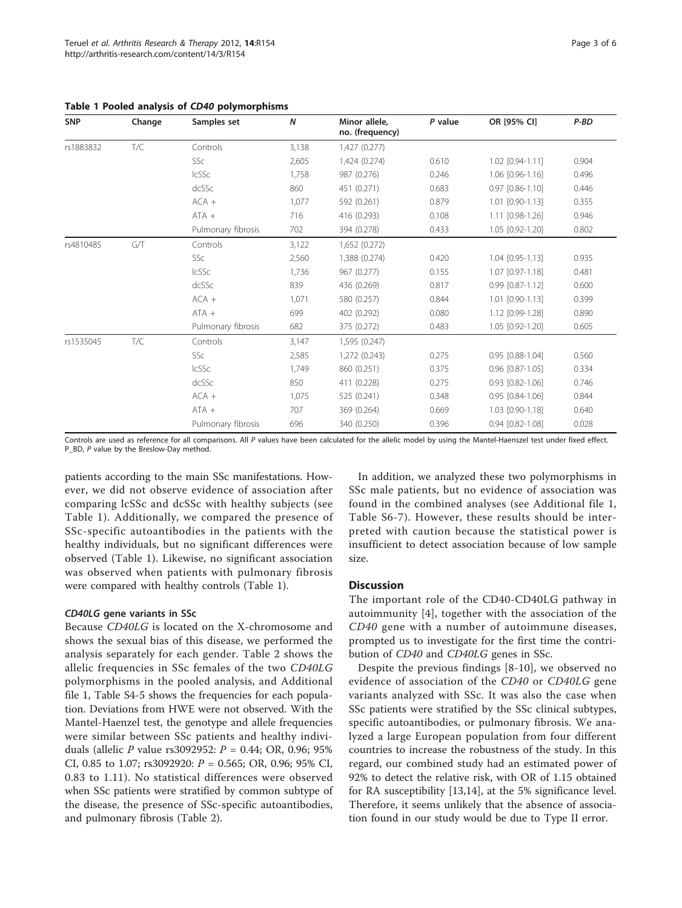| <b>SNP</b> | Change | Samples set        | $\boldsymbol{N}$ | Minor allele,<br>no. (frequency) | P value | OR [95% CI]            | $P-BD$ |
|------------|--------|--------------------|------------------|----------------------------------|---------|------------------------|--------|
| rs1883832  | T/C    | Controls           | 3,138            | 1,427 (0.277)                    |         |                        |        |
|            |        | SSc                | 2,605            | 1,424 (0.274)                    | 0.610   | 1.02 [0.94-1.11]       | 0.904  |
|            |        | IcSSc              | 1,758            | 987 (0.276)                      | 0.246   | 1.06 [0.96-1.16]       | 0.496  |
|            |        | dcSSc              | 860              | 451 (0.271)                      | 0.683   | 0.97 [0.86-1.10]       | 0.446  |
|            |        | $ACA +$            | 1,077            | 592 (0.261)                      | 0.879   | 1.01 [0.90-1.13]       | 0.355  |
|            |        | $ATA +$            | 716              | 416 (0.293)                      | 0.108   | 1.11 [0.98-1.26]       | 0.946  |
|            |        | Pulmonary fibrosis | 702              | 394 (0.278)                      | 0.433   | 1.05 [0.92-1.20]       | 0.802  |
| rs4810485  | G/T    | Controls           | 3,122            | 1,652 (0.272)                    |         |                        |        |
|            |        | SSc                | 2,560            | 1,388 (0.274)                    | 0.420   | 1.04 [0.95-1.13]       | 0.935  |
|            |        | <b>IcSSc</b>       | 1,736            | 967 (0.277)                      | 0.155   | 1.07 [0.97-1.18]       | 0.481  |
|            |        | dcSSc              | 839              | 436 (0.269)                      | 0.817   | 0.99 [0.87-1.12]       | 0.600  |
|            |        | $ACA +$            | 1,071            | 580 (0.257)                      | 0.844   | 1.01 [0.90-1.13]       | 0.399  |
|            |        | $ATA +$            | 699              | 402 (0.292)                      | 0.080   | 1.12 [0.99-1.28]       | 0.890  |
|            |        | Pulmonary fibrosis | 682              | 375 (0.272)                      | 0.483   | 1.05 [0.92-1.20]       | 0.605  |
| rs1535045  | T/C    | Controls           | 3.147            | 1,595 (0.247)                    |         |                        |        |
|            |        | SSc                | 2,585            | 1,272 (0.243)                    | 0.275   | 0.95 [0.88-1.04]       | 0.560  |
|            |        | <b>IcSSc</b>       | 1,749            | 860 (0.251)                      | 0.375   | 0.96 [0.87-1.05]       | 0.334  |
|            |        | dcSSc              | 850              | 411 (0.228)                      | 0.275   | $0.93$ $[0.82 - 1.06]$ | 0.746  |
|            |        | $ACA +$            | 1,075            | 525 (0.241)                      | 0.348   | 0.95 [0.84-1.06]       | 0.844  |
|            |        | $ATA +$            | 707              | 369 (0.264)                      | 0.669   | 1.03 [0.90-1.18]       | 0.640  |
|            |        | Pulmonary fibrosis | 696              | 340 (0.250)                      | 0.396   | 0.94 [0.82-1.08]       | 0.028  |

<span id="page-2-0"></span>Table 1 Pooled analysis of CD40 polymorphisms

Controls are used as reference for all comparisons. All P values have been calculated for the allelic model by using the Mantel-Haenszel test under fixed effect. P\_BD, P value by the Breslow-Day method.

patients according to the main SSc manifestations. However, we did not observe evidence of association after comparing lcSSc and dcSSc with healthy subjects (see Table 1). Additionally, we compared the presence of SSc-specific autoantibodies in the patients with the healthy individuals, but no significant differences were observed (Table 1). Likewise, no significant association was observed when patients with pulmonary fibrosis were compared with healthy controls (Table 1).

#### CD40LG gene variants in SSc

Because CD40LG is located on the X-chromosome and shows the sexual bias of this disease, we performed the analysis separately for each gender. Table [2](#page-3-0) shows the allelic frequencies in SSc females of the two CD40LG polymorphisms in the pooled analysis, and Additional file [1](#page-3-0), Table S4-5 shows the frequencies for each population. Deviations from HWE were not observed. With the Mantel-Haenzel test, the genotype and allele frequencies were similar between SSc patients and healthy individuals (allelic P value rs3092952:  $P = 0.44$ ; OR, 0.96; 95% CI, 0.85 to 1.07; rs3092920:  $P = 0.565$ ; OR, 0.96; 95% CI, 0.83 to 1.11). No statistical differences were observed when SSc patients were stratified by common subtype of the disease, the presence of SSc-specific autoantibodies, and pulmonary fibrosis (Table [2\)](#page-3-0).

In addition, we analyzed these two polymorphisms in SSc male patients, but no evidence of association was found in the combined analyses (see Additional file [1](#page-3-0), Table S6-7). However, these results should be interpreted with caution because the statistical power is insufficient to detect association because of low sample size.

#### **Discussion**

The important role of the CD40-CD40LG pathway in autoimmunity [\[4](#page-4-0)], together with the association of the CD40 gene with a number of autoimmune diseases, prompted us to investigate for the first time the contribution of CD40 and CD40LG genes in SSc.

Despite the previous findings [\[8](#page-5-0)-[10](#page-5-0)], we observed no evidence of association of the CD40 or CD40LG gene variants analyzed with SSc. It was also the case when SSc patients were stratified by the SSc clinical subtypes, specific autoantibodies, or pulmonary fibrosis. We analyzed a large European population from four different countries to increase the robustness of the study. In this regard, our combined study had an estimated power of 92% to detect the relative risk, with OR of 1.15 obtained for RA susceptibility [\[13,14\]](#page-5-0), at the 5% significance level. Therefore, it seems unlikely that the absence of association found in our study would be due to Type II error.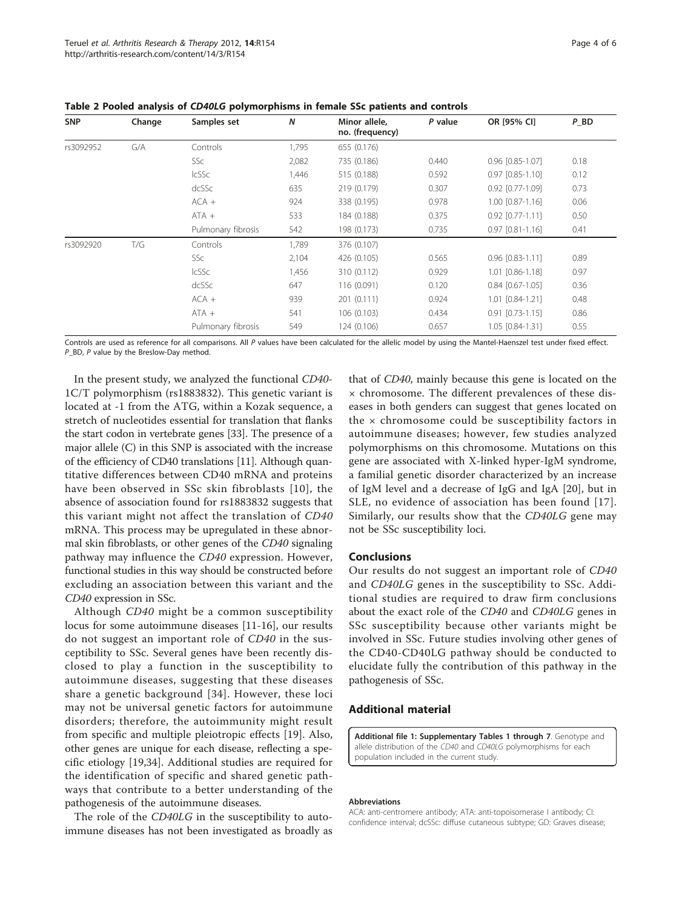| <b>SNP</b> | Change | Samples set        | $\boldsymbol{N}$ | Minor allele,<br>no. (frequency) | P value | OR [95% CI]            | $P$ _BD |
|------------|--------|--------------------|------------------|----------------------------------|---------|------------------------|---------|
| rs3092952  | G/A    | Controls           | 1,795            | 655 (0.176)                      |         |                        |         |
|            |        | SSc                | 2,082            | 735 (0.186)                      | 0.440   | 0.96 [0.85-1.07]       | 0.18    |
|            |        | <b>IcSSc</b>       | 1,446            | 515 (0.188)                      | 0.592   | $0.97$ $[0.85 - 1.10]$ | 0.12    |
|            |        | dcSSc              | 635              | 219 (0.179)                      | 0.307   | $0.92$ $[0.77 - 1.09]$ | 0.73    |
|            |        | $ACA +$            | 924              | 338 (0.195)                      | 0.978   | $1.00$ $[0.87 - 1.16]$ | 0.06    |
|            |        | $ATA +$            | 533              | 184 (0.188)                      | 0.375   | $0.92$ $[0.77 - 1.11]$ | 0.50    |
|            |        | Pulmonary fibrosis | 542              | 198 (0.173)                      | 0.735   | $0.97$ $[0.81 - 1.16]$ | 0.41    |
| rs3092920  | T/G    | Controls           | 1.789            | 376 (0.107)                      |         |                        |         |
|            |        | SSc                | 2,104            | 426 (0.105)                      | 0.565   | $0.96$ $[0.83 - 1.11]$ | 0.89    |
|            |        | <b>IcSSc</b>       | 1,456            | 310 (0.112)                      | 0.929   | 1.01 [0.86-1.18]       | 0.97    |
|            |        | dcSSc              | 647              | 116 (0.091)                      | 0.120   | $0.84$ $[0.67 - 1.05]$ | 0.36    |
|            |        | $ACA +$            | 939              | 201 (0.111)                      | 0.924   | 1.01 [0.84-1.21]       | 0.48    |
|            |        | $ATA +$            | 541              | 106 (0.103)                      | 0.434   | $0.91$ $[0.73 - 1.15]$ | 0.86    |
|            |        | Pulmonary fibrosis | 549              | 124 (0.106)                      | 0.657   | 1.05 [0.84-1.31]       | 0.55    |

<span id="page-3-0"></span>Table 2 Pooled analysis of CD40LG polymorphisms in female SSc patients and controls

Controls are used as reference for all comparisons. All P values have been calculated for the allelic model by using the Mantel-Haenszel test under fixed effect. P\_BD, P value by the Breslow-Day method.

In the present study, we analyzed the functional CD40- 1C/T polymorphism (rs1883832). This genetic variant is located at -1 from the ATG, within a Kozak sequence, a stretch of nucleotides essential for translation that flanks the start codon in vertebrate genes [[33](#page-5-0)]. The presence of a major allele (C) in this SNP is associated with the increase of the efficiency of CD40 translations [[11](#page-5-0)]. Although quantitative differences between CD40 mRNA and proteins have been observed in SSc skin fibroblasts [\[10](#page-5-0)], the absence of association found for rs1883832 suggests that this variant might not affect the translation of CD40 mRNA. This process may be upregulated in these abnormal skin fibroblasts, or other genes of the CD40 signaling pathway may influence the CD40 expression. However, functional studies in this way should be constructed before excluding an association between this variant and the CD40 expression in SSc.

Although CD40 might be a common susceptibility locus for some autoimmune diseases [[11-16\]](#page-5-0), our results do not suggest an important role of CD40 in the susceptibility to SSc. Several genes have been recently disclosed to play a function in the susceptibility to autoimmune diseases, suggesting that these diseases share a genetic background [\[34\]](#page-5-0). However, these loci may not be universal genetic factors for autoimmune disorders; therefore, the autoimmunity might result from specific and multiple pleiotropic effects [\[19](#page-5-0)]. Also, other genes are unique for each disease, reflecting a specific etiology [[19,34\]](#page-5-0). Additional studies are required for the identification of specific and shared genetic pathways that contribute to a better understanding of the pathogenesis of the autoimmune diseases.

The role of the CD40LG in the susceptibility to autoimmune diseases has not been investigated as broadly as

that of CD40, mainly because this gene is located on the × chromosome. The different prevalences of these diseases in both genders can suggest that genes located on the × chromosome could be susceptibility factors in autoimmune diseases; however, few studies analyzed polymorphisms on this chromosome. Mutations on this gene are associated with X-linked hyper-IgM syndrome, a familial genetic disorder characterized by an increase of IgM level and a decrease of IgG and IgA [[20\]](#page-5-0), but in SLE, no evidence of association has been found [[17](#page-5-0)]. Similarly, our results show that the CD40LG gene may not be SSc susceptibility loci.

#### Conclusions

Our results do not suggest an important role of CD40 and CD40LG genes in the susceptibility to SSc. Additional studies are required to draw firm conclusions about the exact role of the CD40 and CD40LG genes in SSc susceptibility because other variants might be involved in SSc. Future studies involving other genes of the CD40-CD40LG pathway should be conducted to elucidate fully the contribution of this pathway in the pathogenesis of SSc.

# Additional material

[Additional file 1: S](http://www.biomedcentral.com/content/supplementary/ar3890-S1.DOC)upplementary Tables 1 through 7. Genotype and allele distribution of the CD40 and CD40LG polymorphisms for each population included in the current study.

#### Abbreviations

ACA: anti-centromere antibody; ATA: anti-topoisomerase I antibody; CI: confidence interval; dcSSc: diffuse cutaneous subtype; GD: Graves disease;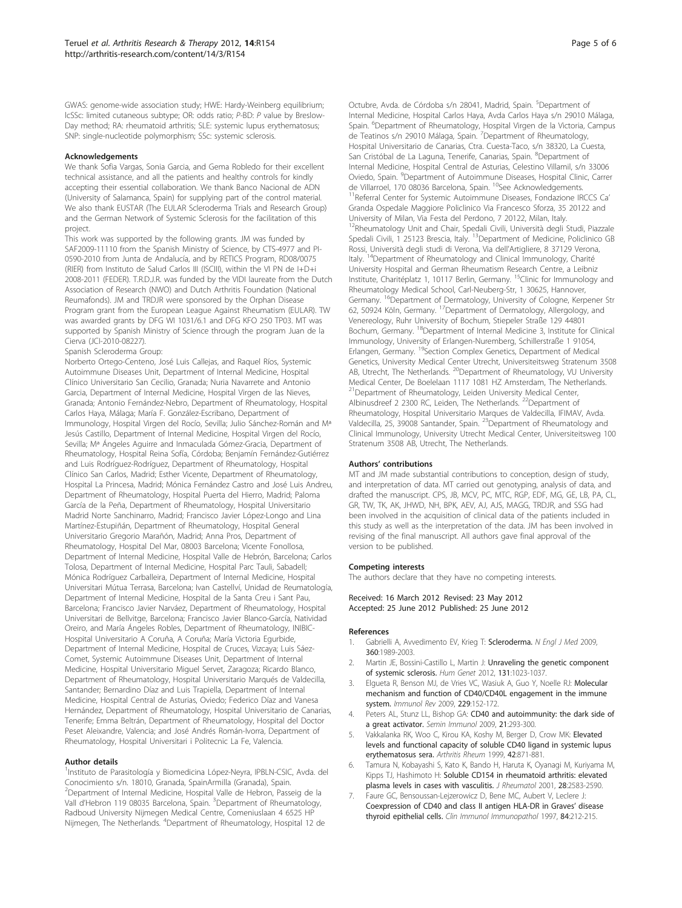<span id="page-4-0"></span>GWAS: genome-wide association study; HWE: Hardy-Weinberg equilibrium; lcSSc: limited cutaneous subtype; OR: odds ratio; P-BD: P value by Breslow-Day method; RA: rheumatoid arthritis; SLE: systemic lupus erythematosus; SNP: single-nucleotide polymorphism; SSc: systemic sclerosis.

#### Acknowledgements

We thank Sofia Vargas, Sonia Garcia, and Gema Robledo for their excellent technical assistance, and all the patients and healthy controls for kindly accepting their essential collaboration. We thank Banco Nacional de ADN (University of Salamanca, Spain) for supplying part of the control material. We also thank EUSTAR (The EULAR Scleroderma Trials and Research Group) and the German Network of Systemic Sclerosis for the facilitation of this project.

This work was supported by the following grants. JM was funded by SAF2009-11110 from the Spanish Ministry of Science, by CTS-4977 and PI-0590-2010 from Junta de Andalucía, and by RETICS Program, RD08/0075 (RIER) from Instituto de Salud Carlos III (ISCIII), within the VI PN de I+D+i 2008-2011 (FEDER). T.R.D.J.R. was funded by the VIDI laureate from the Dutch Association of Research (NWO) and Dutch Arthritis Foundation (National Reumafonds). JM and TRDJR were sponsored by the Orphan Disease Program grant from the European League Against Rheumatism (EULAR). TW was awarded grants by DFG WI 1031/6.1 and DFG KFO 250 TP03. MT was supported by Spanish Ministry of Science through the program Juan de la Cierva (JCI-2010-08227).

Spanish Scleroderma Group:

Norberto Ortego-Centeno, José Luis Callejas, and Raquel Ríos, Systemic Autoimmune Diseases Unit, Department of Internal Medicine, Hospital Clínico Universitario San Cecilio, Granada; Nuria Navarrete and Antonio Garcia, Department of Internal Medicine, Hospital Virgen de las Nieves, Granada; Antonio Fernández-Nebro, Department of Rheumatology, Hospital Carlos Haya, Málaga; María F. González-Escribano, Department of Immunology, Hospital Virgen del Rocío, Sevilla; Julio Sánchez-Román and Mª Jesús Castillo, Department of Internal Medicine, Hospital Virgen del Rocío, Sevilla; Mª Ángeles Aguirre and Inmaculada Gómez-Gracia, Department of Rheumatology, Hospital Reina Sofía, Córdoba; Benjamín Fernández-Gutiérrez and Luis Rodríguez-Rodríguez, Department of Rheumatology, Hospital Clínico San Carlos, Madrid; Esther Vicente, Department of Rheumatology, Hospital La Princesa, Madrid; Mónica Fernández Castro and José Luis Andreu, Department of Rheumatology, Hospital Puerta del Hierro, Madrid; Paloma García de la Peña, Department of Rheumatology, Hospital Universitario Madrid Norte Sanchinarro, Madrid; Francisco Javier López-Longo and Lina Martínez-Estupiñán, Department of Rheumatology, Hospital General Universitario Gregorio Marañón, Madrid; Anna Pros, Department of Rheumatology, Hospital Del Mar, 08003 Barcelona; Vicente Fonollosa, Department of Internal Medicine, Hospital Valle de Hebrón, Barcelona; Carlos Tolosa, Department of Internal Medicine, Hospital Parc Tauli, Sabadell; Mónica Rodríguez Carballeira, Department of Internal Medicine, Hospital Universitari Mútua Terrasa, Barcelona; Ivan Castellví, Unidad de Reumatología, Department of Internal Medicine, Hospital de la Santa Creu i Sant Pau, Barcelona; Francisco Javier Narváez, Department of Rheumatology, Hospital Universitari de Bellvitge, Barcelona; Francisco Javier Blanco-García, Natividad Oreiro, and María Ángeles Robles, Department of Rheumatology, INIBIC-Hospital Universitario A Coruña, A Coruña; María Victoria Egurbide, Department of Internal Medicine, Hospital de Cruces, Vizcaya; Luis Sáez-Comet, Systemic Autoimmune Diseases Unit, Department of Internal Medicine, Hospital Universitario Miguel Servet, Zaragoza; Ricardo Blanco, Department of Rheumatology, Hospital Universitario Marqués de Valdecilla, Santander; Bernardino Díaz and Luis Trapiella, Department of Internal Medicine, Hospital Central de Asturias, Oviedo; Federico Díaz and Vanesa Hernández, Department of Rheumatology, Hospital Universitario de Canarias, Tenerife; Emma Beltrán, Department of Rheumatology, Hospital del Doctor Peset Aleixandre, Valencia; and José Andrés Román-Ivorra, Department of Rheumatology, Hospital Universitari i Politecnic La Fe, Valencia.

#### Author details

<sup>1</sup>Instituto de Parasitología y Biomedicina López-Neyra, IPBLN-CSIC, Avda. del Conocimiento s/n. 18010, Granada, SpainArmilla (Granada), Spain. <sup>2</sup>Department of Internal Medicine, Hospital Valle de Hebron, Passeig de la Vall d'Hebron 119 08035 Barcelona, Spain. <sup>3</sup>Department of Rheumatology, Radboud University Nijmegen Medical Centre, Comeniuslaan 4 6525 HP Nijmegen, The Netherlands. <sup>4</sup>Department of Rheumatology, Hospital 12 de

Octubre, Avda. de Córdoba s/n 28041, Madrid, Spain. <sup>5</sup>Department of Internal Medicine, Hospital Carlos Haya, Avda Carlos Haya s/n 29010 Málaga, Spain. <sup>6</sup>Department of Rheumatology, Hospital Virgen de la Victoria, Campus de Teatinos s/n 29010 Málaga, Spain. <sup>7</sup>Department of Rheumatology, Hospital Universitario de Canarias, Ctra. Cuesta-Taco, s/n 38320, La Cuesta, San Cristóbal de La Laguna, Tenerife, Canarias, Spain. <sup>8</sup>Department of Internal Medicine, Hospital Central de Asturias, Celestino Villamil, s/n 33006 Oviedo, Spain. <sup>9</sup>Department of Autoimmune Diseases, Hospital Clinic, Carrer<br>de Villarroel, 170 08036 Barcelona, Spain. <sup>10</sup>See Acknowledgements.<br><sup>11</sup>Referral Center for Systemic Autoimmune Diseases, Fondazione IRCCS Ca' Granda Ospedale Maggiore Policlinico Via Francesco Sforza, 35 20122 and University of Milan, Via Festa del Perdono, 7 20122, Milan, Italy.

12Rheumatology Unit and Chair, Spedali Civili, Università degli Studi, Piazzale Spedali Civili, 1 25123 Brescia, Italy. <sup>13</sup>Department of Medicine, Policlinico GB Rossi, Università degli studi di Verona, Via dell'Artigliere, 8 37129 Verona, Italy. <sup>14</sup>Department of Rheumatology and Clinical Immunology, Charité University Hospital and German Rheumatism Research Centre, a Leibniz Institute, Charitéplatz 1, 10117 Berlin, Germany. 15Clinic for Immunology and Rheumatology Medical School, Carl-Neuberg-Str, 1 30625, Hannover, Germany. <sup>16</sup>Department of Dermatology, University of Cologne, Kerpener Str 62, 50924 Köln, Germany. 17Department of Dermatology, Allergology, and Venereology, Ruhr University of Bochum, Stiepeler Straße 129 44801 Bochum, Germany. 18Department of Internal Medicine 3, Institute for Clinical Immunology, University of Erlangen-Nuremberg, Schillerstraße 1 91054, Erlangen, Germany. 19Section Complex Genetics, Department of Medical Genetics, University Medical Center Utrecht, Universiteitsweg Stratenum 3508 AB, Utrecht, The Netherlands. <sup>20</sup>Department of Rheumatology, VU University Medical Center, De Boelelaan 1117 1081 HZ Amsterdam, The Netherlands. <sup>21</sup>Department of Rheumatology, Leiden University Medical Center, Albinusdreef 2 2300 RC, Leiden, The Netherlands. 22Department of Rheumatology, Hospital Universitario Marques de Valdecilla, IFIMAV, Avda. Valdecilla, 25, 39008 Santander, Spain. 23Department of Rheumatology and Clinical Immunology, University Utrecht Medical Center, Universiteitsweg 100 Stratenum 3508 AB, Utrecht, The Netherlands.

#### Authors' contributions

MT and JM made substantial contributions to conception, design of study, and interpretation of data. MT carried out genotyping, analysis of data, and drafted the manuscript. CPS, JB, MCV, PC, MTC, RGP, EDF, MG, GE, LB, PA, CL, GR, TW, TK, AK, JHWD, NH, BPK, AEV, AJ, AJS, MAGG, TRDJR, and SSG had been involved in the acquisition of clinical data of the patients included in this study as well as the interpretation of the data. JM has been involved in revising of the final manuscript. All authors gave final approval of the version to be published.

#### Competing interests

The authors declare that they have no competing interests.

Received: 16 March 2012 Revised: 23 May 2012 Accepted: 25 June 2012 Published: 25 June 2012

#### References

- 1. Gabrielli A, Avvedimento EV, Krieg T: [Scleroderma.](http://www.ncbi.nlm.nih.gov/pubmed/19420368?dopt=Abstract) N Engl J Med 2009, 360:1989-2003.
- 2. Martin JE, Bossini-Castillo L, Martin J: [Unraveling the genetic component](http://www.ncbi.nlm.nih.gov/pubmed/22218928?dopt=Abstract) [of systemic sclerosis.](http://www.ncbi.nlm.nih.gov/pubmed/22218928?dopt=Abstract) Hum Genet 2012, 131:1023-1037.
- 3. Elgueta R, Benson MJ, de Vries VC, Wasiuk A, Guo Y, Noelle RJ: [Molecular](http://www.ncbi.nlm.nih.gov/pubmed/19426221?dopt=Abstract) [mechanism and function of CD40/CD40L engagement in the immune](http://www.ncbi.nlm.nih.gov/pubmed/19426221?dopt=Abstract) [system.](http://www.ncbi.nlm.nih.gov/pubmed/19426221?dopt=Abstract) Immunol Rev 2009, 229:152-172.
- 4. Peters AL, Stunz LL, Bishop GA: [CD40 and autoimmunity: the dark side of](http://www.ncbi.nlm.nih.gov/pubmed/19595612?dopt=Abstract) [a great activator.](http://www.ncbi.nlm.nih.gov/pubmed/19595612?dopt=Abstract) Semin Immunol 2009, 21:293-300.
- 5. Vakkalanka RK, Woo C, Kirou KA, Koshy M, Berger D, Crow MK: [Elevated](http://www.ncbi.nlm.nih.gov/pubmed/10323442?dopt=Abstract) [levels and functional capacity of soluble CD40 ligand in systemic lupus](http://www.ncbi.nlm.nih.gov/pubmed/10323442?dopt=Abstract) [erythematosus sera.](http://www.ncbi.nlm.nih.gov/pubmed/10323442?dopt=Abstract) Arthritis Rheum 1999, 42:871-881.
- Tamura N, Kobayashi S, Kato K, Bando H, Haruta K, Oyanagi M, Kuriyama M, Kipps TJ, Hashimoto H: [Soluble CD154 in rheumatoid arthritis: elevated](http://www.ncbi.nlm.nih.gov/pubmed/11764201?dopt=Abstract) [plasma levels in cases with vasculitis.](http://www.ncbi.nlm.nih.gov/pubmed/11764201?dopt=Abstract) J Rheumatol 2001, 28:2583-2590.
- 7. Faure GC, Bensoussan-Lejzerowicz D, Bene MC, Aubert V, Leclere J: [Coexpression of CD40 and class II antigen HLA-DR in Graves](http://www.ncbi.nlm.nih.gov/pubmed/9245555?dopt=Abstract)' disease [thyroid epithelial cells.](http://www.ncbi.nlm.nih.gov/pubmed/9245555?dopt=Abstract) Clin Immunol Immunopathol 1997, 84:212-215.